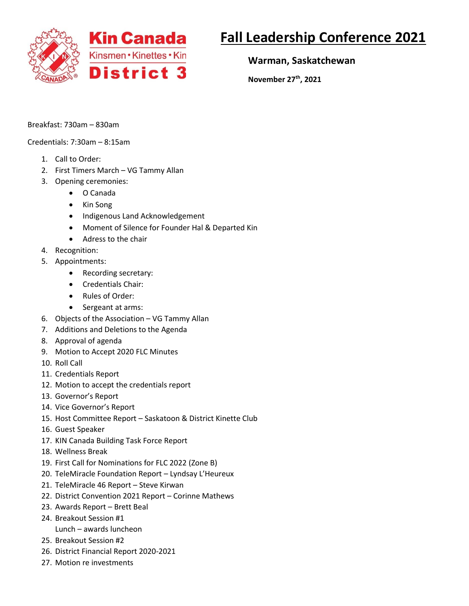

## **Fall Leadership Conference 2021**

**Warman, Saskatchewan**

**November 27th, 2021**

Breakfast: 730am – 830am

Credentials: 7:30am – 8:15am

- 1. Call to Order:
- 2. First Timers March VG Tammy Allan
- 3. Opening ceremonies:
	- O Canada
	- Kin Song
	- Indigenous Land Acknowledgement
	- Moment of Silence for Founder Hal & Departed Kin
	- Adress to the chair
- 4. Recognition:
- 5. Appointments:
	- Recording secretary:
	- Credentials Chair:
	- Rules of Order:
	- Sergeant at arms:
- 6. Objects of the Association VG Tammy Allan
- 7. Additions and Deletions to the Agenda
- 8. Approval of agenda
- 9. Motion to Accept 2020 FLC Minutes
- 10. Roll Call
- 11. Credentials Report
- 12. Motion to accept the credentials report
- 13. Governor's Report
- 14. Vice Governor's Report
- 15. Host Committee Report Saskatoon & District Kinette Club
- 16. Guest Speaker
- 17. KIN Canada Building Task Force Report
- 18. Wellness Break
- 19. First Call for Nominations for FLC 2022 (Zone B)
- 20. TeleMiracle Foundation Report Lyndsay L'Heureux
- 21. TeleMiracle 46 Report Steve Kirwan
- 22. District Convention 2021 Report Corinne Mathews
- 23. Awards Report Brett Beal
- 24. Breakout Session #1
- Lunch awards luncheon
- 25. Breakout Session #2
- 26. District Financial Report 2020-2021
- 27. Motion re investments